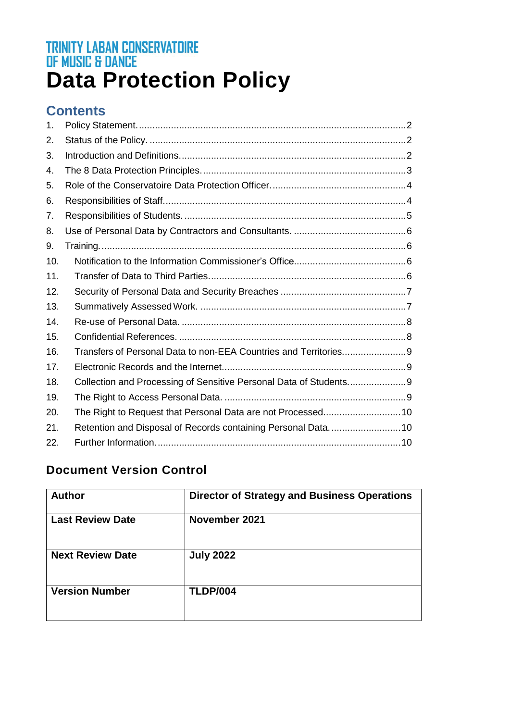# **TRINITY LABAN CONSERVATOIRE<br>OF MUSIC & DANCE<br>Data Protection Policy**

# **Contents**

| 1.  |  |
|-----|--|
| 2.  |  |
| 3.  |  |
| 4.  |  |
| 5.  |  |
| 6.  |  |
| 7.  |  |
| 8.  |  |
| 9.  |  |
| 10. |  |
| 11. |  |
| 12. |  |
| 13. |  |
| 14. |  |
| 15. |  |
| 16. |  |
| 17. |  |
| 18. |  |
| 19. |  |
| 20. |  |
| 21. |  |
| 22. |  |

# **Document Version Control**

| <b>Author</b>           | <b>Director of Strategy and Business Operations</b> |
|-------------------------|-----------------------------------------------------|
| <b>Last Review Date</b> | November 2021                                       |
| <b>Next Review Date</b> | <b>July 2022</b>                                    |
| <b>Version Number</b>   | <b>TLDP/004</b>                                     |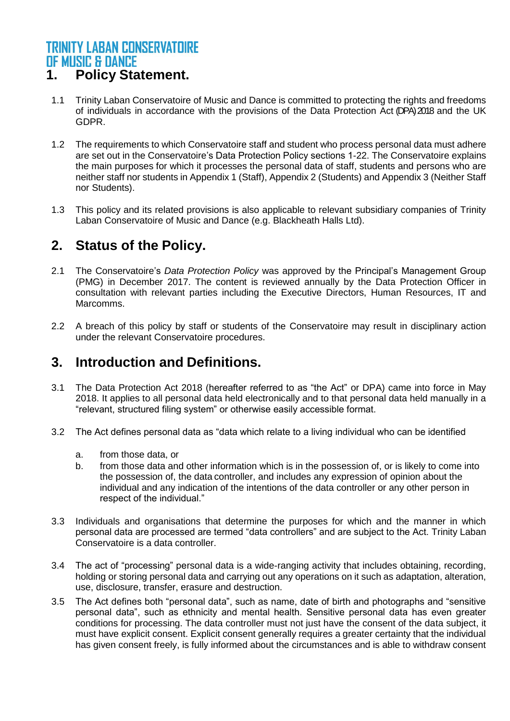# <span id="page-1-0"></span>**1. Policy Statement.**

- 1.1 Trinity Laban Conservatoire of Music and Dance is committed to protecting the rights and freedoms of individuals in accordance with the provisions of the Data Protection Act (DPA) 2018 and the UK GDPR.
- 1.2 The requirements to which Conservatoire staff and student who process personal data must adhere are set out in the Conservatoire's Data Protection Policy sections 1-22. The Conservatoire explains the main purposes for which it processes the personal data of staff, students and persons who are neither staff nor students in Appendix 1 (Staff), Appendix 2 (Students) and Appendix 3 (Neither Staff nor Students).
- 1.3 This policy and its related provisions is also applicable to relevant subsidiary companies of Trinity Laban Conservatoire of Music and Dance (e.g. Blackheath Halls Ltd).

# <span id="page-1-1"></span>**2. Status of the Policy.**

- 2.1 The Conservatoire's *Data Protection Policy* was approved by the Principal's Management Group (PMG) in December 2017. The content is reviewed annually by the Data Protection Officer in consultation with relevant parties including the Executive Directors, Human Resources, IT and Marcomms.
- 2.2 A breach of this policy by staff or students of the Conservatoire may result in disciplinary action under the relevant Conservatoire procedures.

# <span id="page-1-2"></span>**3. Introduction and Definitions.**

- 3.1 The Data Protection Act 2018 (hereafter referred to as "the Act" or DPA) came into force in May 2018. It applies to all personal data held electronically and to that personal data held manually in a "relevant, structured filing system" or otherwise easily accessible format.
- 3.2 The Act defines personal data as "data which relate to a living individual who can be identified
	- a. from those data, or
	- b. from those data and other information which is in the possession of, or is likely to come into the possession of, the data controller, and includes any expression of opinion about the individual and any indication of the intentions of the data controller or any other person in respect of the individual."
- 3.3 Individuals and organisations that determine the purposes for which and the manner in which personal data are processed are termed "data controllers" and are subject to the Act. Trinity Laban Conservatoire is a data controller.
- 3.4 The act of "processing" personal data is a wide-ranging activity that includes obtaining, recording, holding or storing personal data and carrying out any operations on it such as adaptation, alteration, use, disclosure, transfer, erasure and destruction.
- 3.5 The Act defines both "personal data", such as name, date of birth and photographs and "sensitive personal data", such as ethnicity and mental health. Sensitive personal data has even greater conditions for processing. The data controller must not just have the consent of the data subject, it must have explicit consent. Explicit consent generally requires a greater certainty that the individual has given consent freely, is fully informed about the circumstances and is able to withdraw consent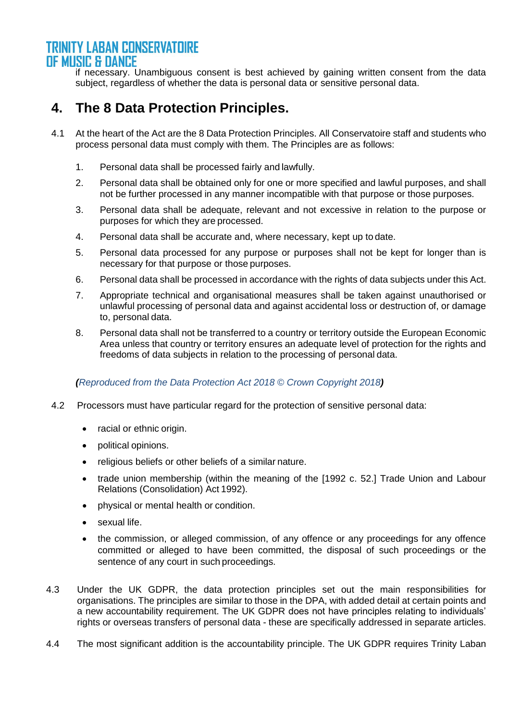if necessary. Unambiguous consent is best achieved by gaining written consent from the data subject, regardless of whether the data is personal data or sensitive personal data.

# <span id="page-2-0"></span>**4. The 8 Data Protection Principles.**

- 4.1 At the heart of the Act are the 8 Data Protection Principles. All Conservatoire staff and students who process personal data must comply with them. The Principles are as follows:
	- 1. Personal data shall be processed fairly and lawfully.
	- 2. Personal data shall be obtained only for one or more specified and lawful purposes, and shall not be further processed in any manner incompatible with that purpose or those purposes.
	- 3. Personal data shall be adequate, relevant and not excessive in relation to the purpose or purposes for which they are processed.
	- 4. Personal data shall be accurate and, where necessary, kept up to date.
	- 5. Personal data processed for any purpose or purposes shall not be kept for longer than is necessary for that purpose or those purposes.
	- 6. Personal data shall be processed in accordance with the rights of data subjects under this Act.
	- 7. Appropriate technical and organisational measures shall be taken against unauthorised or unlawful processing of personal data and against accidental loss or destruction of, or damage to, personal data.
	- 8. Personal data shall not be transferred to a country or territory outside the European Economic Area unless that country or territory ensures an adequate level of protection for the rights and freedoms of data subjects in relation to the processing of personal data.

#### *(Reproduced from the Data Protection Act 2018 © Crown Copyright 2018)*

- 4.2 Processors must have particular regard for the protection of sensitive personal data:
	- racial or ethnic origin.
	- political opinions.
	- religious beliefs or other beliefs of a similar nature.
	- trade union membership (within the meaning of the [1992 c. 52.] Trade Union and Labour Relations (Consolidation) Act 1992).
	- physical or mental health or condition.
	- sexual life.
	- the commission, or alleged commission, of any offence or any proceedings for any offence committed or alleged to have been committed, the disposal of such proceedings or the sentence of any court in such proceedings.
- 4.3 Under the UK GDPR, the data protection principles set out the main responsibilities for organisations. The principles are similar to those in the DPA, with added detail at certain points and a new accountability requirement. The UK GDPR does not have principles relating to individuals' rights or overseas transfers of personal data - these are specifically addressed in separate articles.
- 4.4 The most significant addition is the accountability principle. The UK GDPR requires Trinity Laban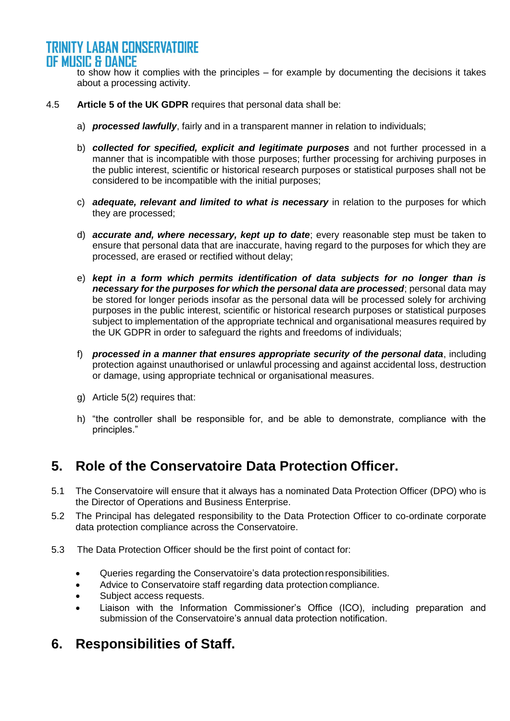to show how it complies with the principles – for example by documenting the decisions it takes about a processing activity.

- 4.5 **Article 5 of the UK GDPR** requires that personal data shall be:
	- a) *processed lawfully*, fairly and in a transparent manner in relation to individuals;
	- b) *collected for specified, explicit and legitimate purposes* and not further processed in a manner that is incompatible with those purposes; further processing for archiving purposes in the public interest, scientific or historical research purposes or statistical purposes shall not be considered to be incompatible with the initial purposes;
	- c) *adequate, relevant and limited to what is necessary* in relation to the purposes for which they are processed;
	- d) *accurate and, where necessary, kept up to date*; every reasonable step must be taken to ensure that personal data that are inaccurate, having regard to the purposes for which they are processed, are erased or rectified without delay;
	- e) *kept in a form which permits identification of data subjects for no longer than is necessary for the purposes for which the personal data are processed*; personal data may be stored for longer periods insofar as the personal data will be processed solely for archiving purposes in the public interest, scientific or historical research purposes or statistical purposes subject to implementation of the appropriate technical and organisational measures required by the UK GDPR in order to safeguard the rights and freedoms of individuals;
	- f) *processed in a manner that ensures appropriate security of the personal data*, including protection against unauthorised or unlawful processing and against accidental loss, destruction or damage, using appropriate technical or organisational measures.
	- g) Article 5(2) requires that:
	- h) "the controller shall be responsible for, and be able to demonstrate, compliance with the principles."

# <span id="page-3-0"></span>**5. Role of the Conservatoire Data Protection Officer.**

- 5.1 The Conservatoire will ensure that it always has a nominated Data Protection Officer (DPO) who is the Director of Operations and Business Enterprise.
- 5.2 The Principal has delegated responsibility to the Data Protection Officer to co-ordinate corporate data protection compliance across the Conservatoire.
- 5.3 The Data Protection Officer should be the first point of contact for:
	- Queries regarding the Conservatoire's data protectionresponsibilities.
	- Advice to Conservatoire staff regarding data protection compliance.
	- Subject access requests.
	- Liaison with the Information Commissioner's Office (ICO), including preparation and submission of the Conservatoire's annual data protection notification.

# <span id="page-3-1"></span>**6. Responsibilities of Staff.**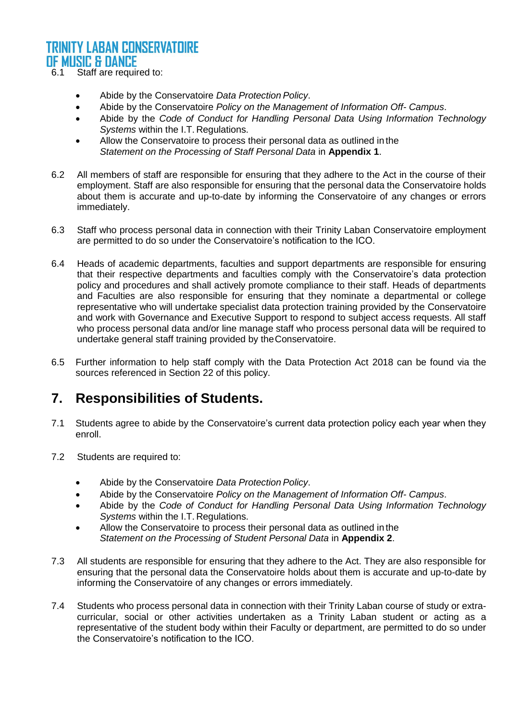6.1 Staff are required to:

- Abide by the Conservatoire *Data Protection Policy*.
- Abide by the Conservatoire *Policy on the Management of Information Off- Campus*.
- Abide by the *Code of Conduct for Handling Personal Data Using Information Technology Systems* within the I.T. Regulations.
- Allow the Conservatoire to process their personal data as outlined in the *Statement on the Processing of Staff Personal Data* in **Appendix 1**.
- 6.2 All members of staff are responsible for ensuring that they adhere to the Act in the course of their employment. Staff are also responsible for ensuring that the personal data the Conservatoire holds about them is accurate and up-to-date by informing the Conservatoire of any changes or errors immediately.
- 6.3 Staff who process personal data in connection with their Trinity Laban Conservatoire employment are permitted to do so under the Conservatoire's notification to the ICO.
- 6.4 Heads of academic departments, faculties and support departments are responsible for ensuring that their respective departments and faculties comply with the Conservatoire's data protection policy and procedures and shall actively promote compliance to their staff. Heads of departments and Faculties are also responsible for ensuring that they nominate a departmental or college representative who will undertake specialist data protection training provided by the Conservatoire and work with Governance and Executive Support to respond to subject access requests. All staff who process personal data and/or line manage staff who process personal data will be required to undertake general staff training provided by theConservatoire.
- 6.5 Further information to help staff comply with the Data Protection Act 2018 can be found via the sources referenced in Section 22 of this policy.

# <span id="page-4-0"></span>**7. Responsibilities of Students.**

- 7.1 Students agree to abide by the Conservatoire's current data protection policy each year when they enroll.
- 7.2 Students are required to:
	- Abide by the Conservatoire *Data Protection Policy*.
	- Abide by the Conservatoire *Policy on the Management of Information Off- Campus*.
	- Abide by the *Code of Conduct for Handling Personal Data Using Information Technology Systems* within the I.T. Regulations.
	- Allow the Conservatoire to process their personal data as outlined in the *Statement on the Processing of Student Personal Data* in **Appendix 2**.
- 7.3 All students are responsible for ensuring that they adhere to the Act. They are also responsible for ensuring that the personal data the Conservatoire holds about them is accurate and up-to-date by informing the Conservatoire of any changes or errors immediately.
- 7.4 Students who process personal data in connection with their Trinity Laban course of study or extracurricular, social or other activities undertaken as a Trinity Laban student or acting as a representative of the student body within their Faculty or department, are permitted to do so under the Conservatoire's notification to the ICO.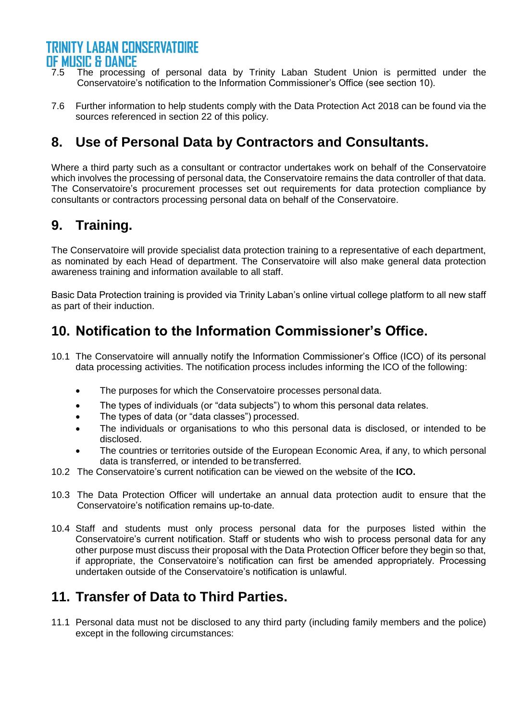- 7.5 The processing of personal data by Trinity Laban Student Union is permitted under the Conservatoire's notification to the Information Commissioner's Office (see section 10).
- 7.6 Further information to help students comply with the Data Protection Act 2018 can be found via the sources referenced in section 22 of this policy.

# <span id="page-5-0"></span>**8. Use of Personal Data by Contractors and Consultants.**

Where a third party such as a consultant or contractor undertakes work on behalf of the Conservatoire which involves the processing of personal data, the Conservatoire remains the data controller of that data. The Conservatoire's procurement processes set out requirements for data protection compliance by consultants or contractors processing personal data on behalf of the Conservatoire.

# <span id="page-5-1"></span>**9. Training.**

The Conservatoire will provide specialist data protection training to a representative of each department, as nominated by each Head of department. The Conservatoire will also make general data protection awareness training and information available to all staff.

Basic Data Protection training is provided via Trinity Laban's online virtual college platform to all new staff as part of their induction.

# <span id="page-5-2"></span>**10. Notification to the Information Commissioner's Office.**

- 10.1 The Conservatoire will annually notify the Information Commissioner's Office (ICO) of its personal data processing activities. The notification process includes informing the ICO of the following:
	- The purposes for which the Conservatoire processes personal data.
	- The types of individuals (or "data subjects") to whom this personal data relates.
	- The types of data (or "data classes") processed.
	- The individuals or organisations to who this personal data is disclosed, or intended to be disclosed.
	- The countries or territories outside of the European Economic Area, if any, to which personal data is transferred, or intended to be transferred.
- 10.2 The Conservatoire's current notification can be viewed on the website of the **ICO.**
- 10.3 The Data Protection Officer will undertake an annual data protection audit to ensure that the Conservatoire's notification remains up-to-date.
- 10.4 Staff and students must only process personal data for the purposes listed within the Conservatoire's current notification. Staff or students who wish to process personal data for any other purpose must discuss their proposal with the Data Protection Officer before they begin so that, if appropriate, the Conservatoire's notification can first be amended appropriately. Processing undertaken outside of the Conservatoire's notification is unlawful.

# <span id="page-5-3"></span>**11. Transfer of Data to Third Parties.**

11.1 Personal data must not be disclosed to any third party (including family members and the police) except in the following circumstances: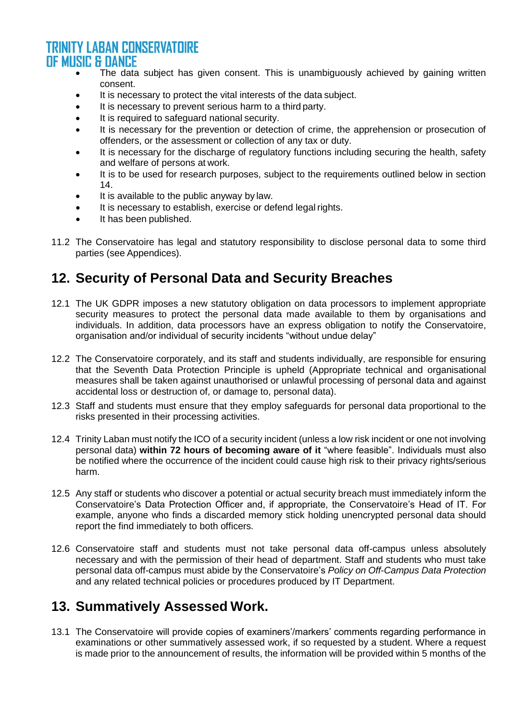- The data subject has given consent. This is unambiguously achieved by gaining written consent.
- It is necessary to protect the vital interests of the data subject.
- It is necessary to prevent serious harm to a third party.
- It is required to safeguard national security.
- It is necessary for the prevention or detection of crime, the apprehension or prosecution of offenders, or the assessment or collection of any tax or duty.
- It is necessary for the discharge of regulatory functions including securing the health, safety and welfare of persons at work.
- It is to be used for research purposes, subject to the requirements outlined below in section 14.
- It is available to the public anyway by law.
- It is necessary to establish, exercise or defend legal rights.
- It has been published.
- 11.2 The Conservatoire has legal and statutory responsibility to disclose personal data to some third parties (see Appendices).

# <span id="page-6-0"></span>**12. Security of Personal Data and Security Breaches**

- 12.1 The UK GDPR imposes a new statutory obligation on data processors to implement appropriate security measures to protect the personal data made available to them by organisations and individuals. In addition, data processors have an express obligation to notify the Conservatoire, organisation and/or individual of security incidents "without undue delay"
- 12.2 The Conservatoire corporately, and its staff and students individually, are responsible for ensuring that the Seventh Data Protection Principle is upheld (Appropriate technical and organisational measures shall be taken against unauthorised or unlawful processing of personal data and against accidental loss or destruction of, or damage to, personal data).
- 12.3 Staff and students must ensure that they employ safeguards for personal data proportional to the risks presented in their processing activities.
- 12.4 Trinity Laban must notify the ICO of a security incident (unless a low risk incident or one not involving personal data) **within 72 hours of becoming aware of it** "where feasible". Individuals must also be notified where the occurrence of the incident could cause high risk to their privacy rights/serious harm.
- 12.5 Any staff or students who discover a potential or actual security breach must immediately inform the Conservatoire's Data Protection Officer and, if appropriate, the Conservatoire's Head of IT. For example, anyone who finds a discarded memory stick holding unencrypted personal data should report the find immediately to both officers.
- 12.6 Conservatoire staff and students must not take personal data off-campus unless absolutely necessary and with the permission of their head of department. Staff and students who must take personal data off-campus must abide by the Conservatoire's *Policy on Off-Campus Data Protection* and any related technical policies or procedures produced by IT Department.

# <span id="page-6-1"></span>**13. Summatively Assessed Work.**

13.1 The Conservatoire will provide copies of examiners'/markers' comments regarding performance in examinations or other summatively assessed work, if so requested by a student. Where a request is made prior to the announcement of results, the information will be provided within 5 months of the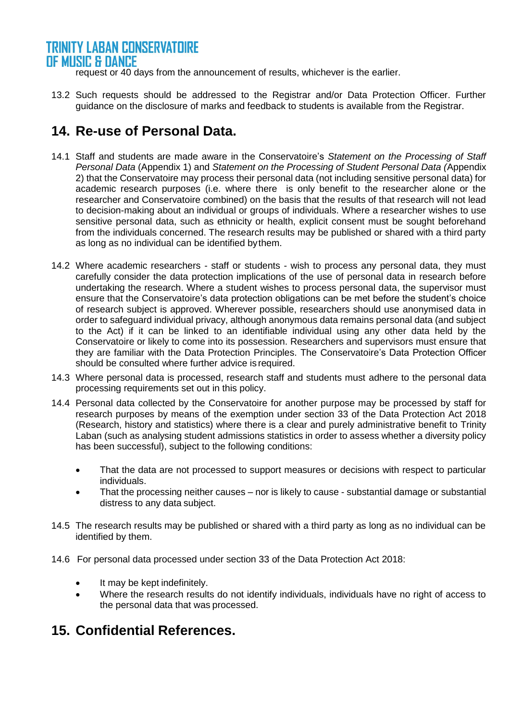request or 40 days from the announcement of results, whichever is the earlier.

13.2 Such requests should be addressed to the Registrar and/or Data Protection Officer. Further guidance on the disclosure of marks and feedback to students is available from the Registrar.

# <span id="page-7-0"></span>**14. Re-use of Personal Data.**

- 14.1 Staff and students are made aware in the Conservatoire's *Statement on the Processing of Staff Personal Data* (Appendix 1) and *Statement on the Processing of Student Personal Data (*Appendix 2) that the Conservatoire may process their personal data (not including sensitive personal data) for academic research purposes (i.e. where there is only benefit to the researcher alone or the researcher and Conservatoire combined) on the basis that the results of that research will not lead to decision-making about an individual or groups of individuals. Where a researcher wishes to use sensitive personal data, such as ethnicity or health, explicit consent must be sought beforehand from the individuals concerned. The research results may be published or shared with a third party as long as no individual can be identified bythem.
- 14.2 Where academic researchers staff or students wish to process any personal data, they must carefully consider the data protection implications of the use of personal data in research before undertaking the research. Where a student wishes to process personal data, the supervisor must ensure that the Conservatoire's data protection obligations can be met before the student's choice of research subject is approved. Wherever possible, researchers should use anonymised data in order to safeguard individual privacy, although anonymous data remains personal data (and subject to the Act) if it can be linked to an identifiable individual using any other data held by the Conservatoire or likely to come into its possession. Researchers and supervisors must ensure that they are familiar with the Data Protection Principles. The Conservatoire's Data Protection Officer should be consulted where further advice is required.
- 14.3 Where personal data is processed, research staff and students must adhere to the personal data processing requirements set out in this policy.
- 14.4 Personal data collected by the Conservatoire for another purpose may be processed by staff for research purposes by means of the exemption under section 33 of the Data Protection Act 2018 (Research, history and statistics) where there is a clear and purely administrative benefit to Trinity Laban (such as analysing student admissions statistics in order to assess whether a diversity policy has been successful), subject to the following conditions:
	- That the data are not processed to support measures or decisions with respect to particular individuals.
	- That the processing neither causes nor is likely to cause substantial damage or substantial distress to any data subject.
- 14.5 The research results may be published or shared with a third party as long as no individual can be identified by them.
- 14.6 For personal data processed under section 33 of the Data Protection Act 2018:
	- It may be kept indefinitely.
	- Where the research results do not identify individuals, individuals have no right of access to the personal data that was processed.

# <span id="page-7-1"></span>**15. Confidential References.**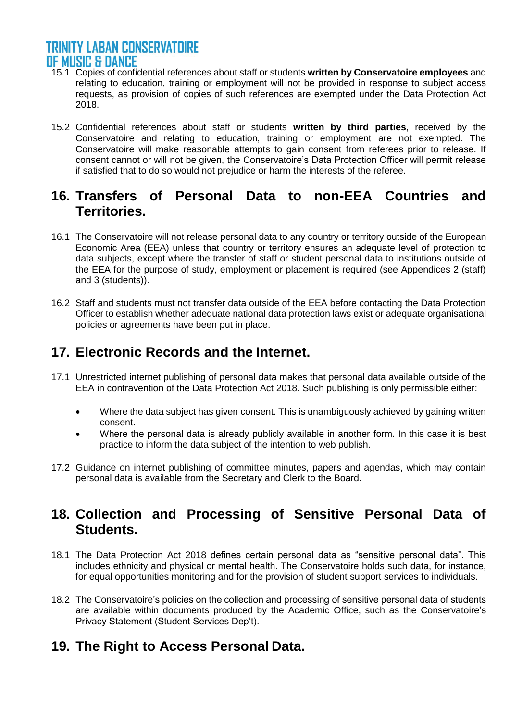- 15.1 Copies of confidential references about staff or students **written by Conservatoire employees** and relating to education, training or employment will not be provided in response to subject access requests, as provision of copies of such references are exempted under the Data Protection Act 2018.
- 15.2 Confidential references about staff or students **written by third parties**, received by the Conservatoire and relating to education, training or employment are not exempted. The Conservatoire will make reasonable attempts to gain consent from referees prior to release. If consent cannot or will not be given, the Conservatoire's Data Protection Officer will permit release if satisfied that to do so would not prejudice or harm the interests of the referee.

# <span id="page-8-0"></span>**16. Transfers of Personal Data to non-EEA Countries and Territories.**

- 16.1 The Conservatoire will not release personal data to any country or territory outside of the European Economic Area (EEA) unless that country or territory ensures an adequate level of protection to data subjects, except where the transfer of staff or student personal data to institutions outside of the EEA for the purpose of study, employment or placement is required (see Appendices 2 (staff) and 3 (students)).
- 16.2 Staff and students must not transfer data outside of the EEA before contacting the Data Protection Officer to establish whether adequate national data protection laws exist or adequate organisational policies or agreements have been put in place.

# <span id="page-8-1"></span>**17. Electronic Records and the Internet.**

- 17.1 Unrestricted internet publishing of personal data makes that personal data available outside of the EEA in contravention of the Data Protection Act 2018. Such publishing is only permissible either:
	- Where the data subject has given consent. This is unambiguously achieved by gaining written consent.
	- Where the personal data is already publicly available in another form. In this case it is best practice to inform the data subject of the intention to web publish.
- 17.2 Guidance on internet publishing of committee minutes, papers and agendas, which may contain personal data is available from the Secretary and Clerk to the Board.

# <span id="page-8-2"></span>**18. Collection and Processing of Sensitive Personal Data of Students.**

- 18.1 The Data Protection Act 2018 defines certain personal data as "sensitive personal data". This includes ethnicity and physical or mental health. The Conservatoire holds such data, for instance, for equal opportunities monitoring and for the provision of student support services to individuals.
- 18.2 The Conservatoire's policies on the collection and processing of sensitive personal data of students are available within documents produced by the Academic Office, such as the Conservatoire's Privacy Statement (Student Services Dep't).

# <span id="page-8-3"></span>**19. The Right to Access Personal Data.**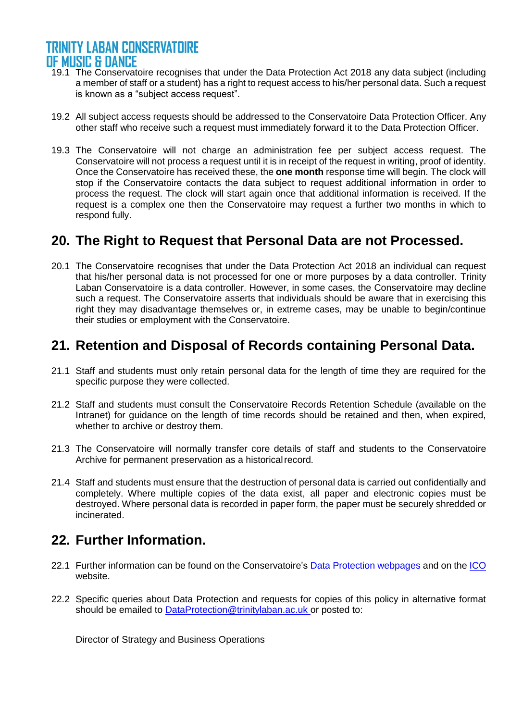- 19.1 The Conservatoire recognises that under the Data Protection Act 2018 any data subject (including a member of staff or a student) has a right to request access to his/her personal data. Such a request is known as a "subject access request".
- 19.2 All subject access requests should be addressed to the Conservatoire Data Protection Officer. Any other staff who receive such a request must immediately forward it to the Data Protection Officer.
- 19.3 The Conservatoire will not charge an administration fee per subject access request. The Conservatoire will not process a request until it is in receipt of the request in writing, proof of identity. Once the Conservatoire has received these, the **one month** response time will begin. The clock will stop if the Conservatoire contacts the data subject to request additional information in order to process the request. The clock will start again once that additional information is received. If the request is a complex one then the Conservatoire may request a further two months in which to respond fully.

# <span id="page-9-0"></span>**20. The Right to Request that Personal Data are not Processed.**

20.1 The Conservatoire recognises that under the Data Protection Act 2018 an individual can request that his/her personal data is not processed for one or more purposes by a data controller. Trinity Laban Conservatoire is a data controller. However, in some cases, the Conservatoire may decline such a request. The Conservatoire asserts that individuals should be aware that in exercising this right they may disadvantage themselves or, in extreme cases, may be unable to begin/continue their studies or employment with the Conservatoire.

# <span id="page-9-1"></span>**21. Retention and Disposal of Records containing Personal Data.**

- 21.1 Staff and students must only retain personal data for the length of time they are required for the specific purpose they were collected.
- 21.2 Staff and students must consult the Conservatoire Records Retention Schedule (available on the Intranet) for guidance on the length of time records should be retained and then, when expired, whether to archive or destroy them.
- 21.3 The Conservatoire will normally transfer core details of staff and students to the Conservatoire Archive for permanent preservation as a historical record.
- 21.4 Staff and students must ensure that the destruction of personal data is carried out confidentially and completely. Where multiple copies of the data exist, all paper and electronic copies must be destroyed. Where personal data is recorded in paper form, the paper must be securely shredded or incinerated.

# <span id="page-9-2"></span>**22. Further Information.**

- 22.1 Further information can be found on the Conservatoire's Data Protection webpages and on the [ICO](http://www.ico.gov.uk/) website.
- 22.2 Specific queries about Data Protection and requests for copies of this policy in alternative format should be emailed to [DataProtection@trinitylaban.ac.uk](mailto:DataProtection@trinitylaban.ac.uk) or posted to:

Director of Strategy and Business Operations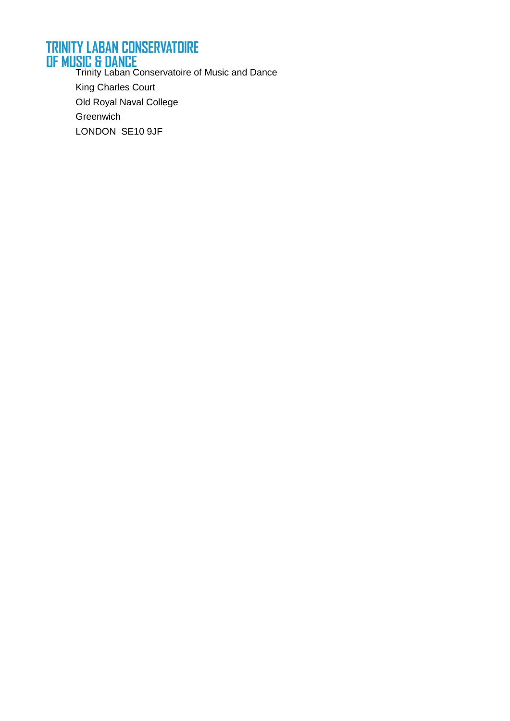# **TRINITY LABAN CONSERVATOIRE**

**OF MUSIC & DANCE**<br>Trinity Laban Conservatoire of Music and Dance King Charles Court Old Royal Naval College Greenwich LONDON SE10 9JF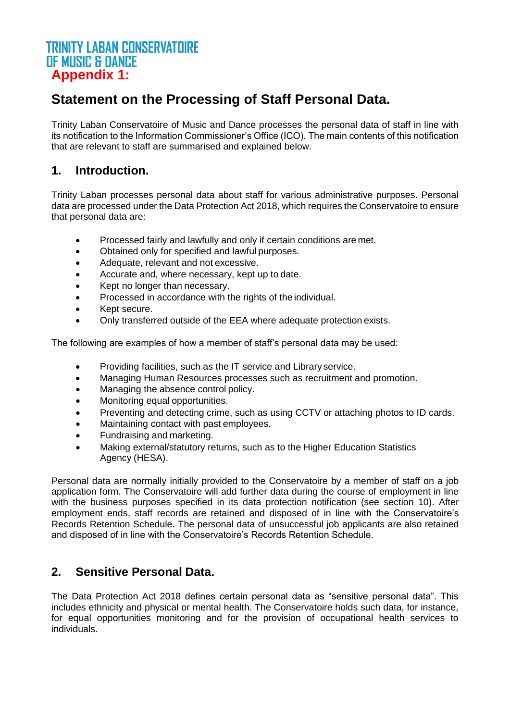#### **TRINITY LABAN CONSERVATOIRE OF MUSIC & DANCE Appendix 1:**

# **Statement on the Processing of Staff Personal Data.**

Trinity Laban Conservatoire of Music and Dance processes the personal data of staff in line with its notification to the Information Commissioner's Office (ICO). The main contents of this notification that are relevant to staff are summarised and explained below.

### **1. Introduction.**

Trinity Laban processes personal data about staff for various administrative purposes. Personal data are processed under the Data Protection Act 2018, which requires the Conservatoire to ensure that personal data are:

- Processed fairly and lawfully and only if certain conditions are met.
- Obtained only for specified and lawful purposes.
- Adequate, relevant and not excessive.
- Accurate and, where necessary, kept up to date.
- Kept no longer than necessary.
- Processed in accordance with the rights of the individual.
- Kept secure.
- Only transferred outside of the EEA where adequate protection exists.

The following are examples of how a member of staff's personal data may be used:

- Providing facilities, such as the IT service and Library service.
- Managing Human Resources processes such as recruitment and promotion.
- Managing the absence control policy.
- Monitoring equal opportunities.
- Preventing and detecting crime, such as using CCTV or attaching photos to ID cards.
- Maintaining contact with past employees.
- Fundraising and marketing.
- Making external/statutory returns, such as to the Higher Education Statistics Agency (HESA).

Personal data are normally initially provided to the Conservatoire by a member of staff on a job application form. The Conservatoire will add further data during the course of employment in line with the business purposes specified in its data protection notification (see section 10). After employment ends, staff records are retained and disposed of in line with the Conservatoire's Records Retention Schedule. The personal data of unsuccessful job applicants are also retained and disposed of in line with the Conservatoire's Records Retention Schedule.

#### **2. Sensitive Personal Data.**

The Data Protection Act 2018 defines certain personal data as "sensitive personal data". This includes ethnicity and physical or mental health. The Conservatoire holds such data, for instance, for equal opportunities monitoring and for the provision of occupational health services to individuals.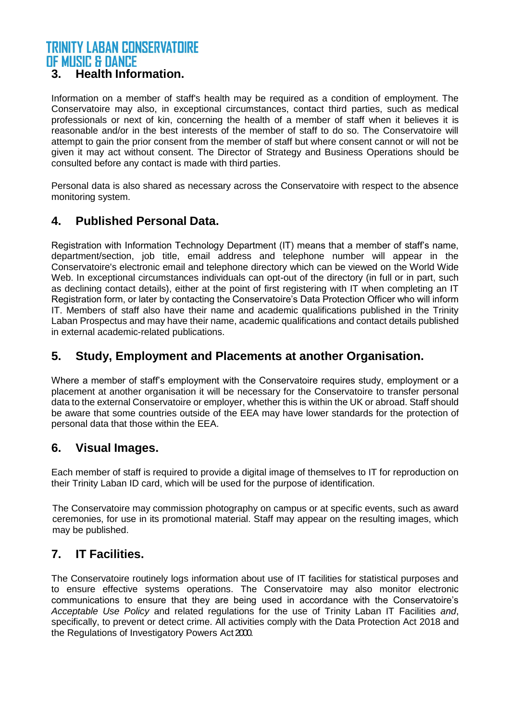#### **3. Health Information.**

Information on a member of staff's health may be required as a condition of employment. The Conservatoire may also, in exceptional circumstances, contact third parties, such as medical professionals or next of kin, concerning the health of a member of staff when it believes it is reasonable and/or in the best interests of the member of staff to do so. The Conservatoire will attempt to gain the prior consent from the member of staff but where consent cannot or will not be given it may act without consent. The Director of Strategy and Business Operations should be consulted before any contact is made with third parties.

Personal data is also shared as necessary across the Conservatoire with respect to the absence monitoring system.

#### **4. Published Personal Data.**

Registration with Information Technology Department (IT) means that a member of staff's name, department/section, job title, email address and telephone number will appear in the Conservatoire's electronic email and telephone directory which can be viewed on the World Wide Web. In exceptional circumstances individuals can opt-out of the directory (in full or in part, such as declining contact details), either at the point of first registering with IT when completing an IT Registration form, or later by contacting the Conservatoire's Data Protection Officer who will inform IT. Members of staff also have their name and academic qualifications published in the Trinity Laban Prospectus and may have their name, academic qualifications and contact details published in external academic-related publications.

#### **5. Study, Employment and Placements at another Organisation.**

Where a member of staff's employment with the Conservatoire requires study, employment or a placement at another organisation it will be necessary for the Conservatoire to transfer personal data to the external Conservatoire or employer, whether this is within the UK or abroad. Staff should be aware that some countries outside of the EEA may have lower standards for the protection of personal data that those within the EEA.

#### **6. Visual Images.**

Each member of staff is required to provide a digital image of themselves to IT for reproduction on their Trinity Laban ID card, which will be used for the purpose of identification.

The Conservatoire may commission photography on campus or at specific events, such as award ceremonies, for use in its promotional material. Staff may appear on the resulting images, which may be published.

#### **7. IT Facilities.**

The Conservatoire routinely logs information about use of IT facilities for statistical purposes and to ensure effective systems operations. The Conservatoire may also monitor electronic communications to ensure that they are being used in accordance with the Conservatoire's *Acceptable Use Policy* and related regulations for the use of Trinity Laban IT Facilities *and*, specifically, to prevent or detect crime. All activities comply with the Data Protection Act 2018 and the Regulations of Investigatory Powers Act 2000.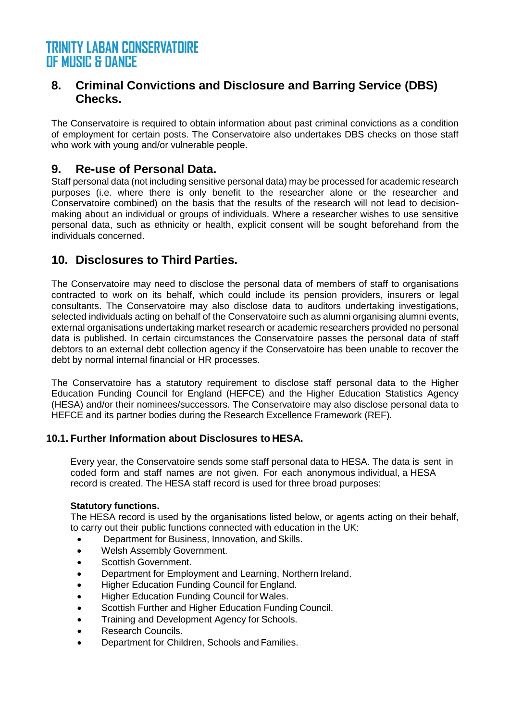#### **8. Criminal Convictions and Disclosure and Barring Service (DBS) Checks.**

The Conservatoire is required to obtain information about past criminal convictions as a condition of employment for certain posts. The Conservatoire also undertakes DBS checks on those staff who work with young and/or vulnerable people.

#### **9. Re-use of Personal Data.**

Staff personal data (not including sensitive personal data) may be processed for academic research purposes (i.e. where there is only benefit to the researcher alone or the researcher and Conservatoire combined) on the basis that the results of the research will not lead to decisionmaking about an individual or groups of individuals. Where a researcher wishes to use sensitive personal data, such as ethnicity or health, explicit consent will be sought beforehand from the individuals concerned.

#### **10. Disclosures to Third Parties.**

The Conservatoire may need to disclose the personal data of members of staff to organisations contracted to work on its behalf, which could include its pension providers, insurers or legal consultants. The Conservatoire may also disclose data to auditors undertaking investigations, selected individuals acting on behalf of the Conservatoire such as alumni organising alumni events, external organisations undertaking market research or academic researchers provided no personal data is published. In certain circumstances the Conservatoire passes the personal data of staff debtors to an external debt collection agency if the Conservatoire has been unable to recover the debt by normal internal financial or HR processes.

The Conservatoire has a statutory requirement to disclose staff personal data to the Higher Education Funding Council for England (HEFCE) and the Higher Education Statistics Agency (HESA) and/or their nominees/successors. The Conservatoire may also disclose personal data to HEFCE and its partner bodies during the Research Excellence Framework (REF).

#### **10.1. Further Information about Disclosures to HESA.**

Every year, the Conservatoire sends some staff personal data to HESA. The data is sent in coded form and staff names are not given. For each anonymous individual, a HESA record is created. The HESA staff record is used for three broad purposes:

#### **Statutory functions.**

The HESA record is used by the organisations listed below, or agents acting on their behalf, to carry out their public functions connected with education in the UK:

- Department for Business, Innovation, and Skills.
- Welsh Assembly Government.
- Scottish Government.
- Department for Employment and Learning, Northern Ireland.
- Higher Education Funding Council for England.
- Higher Education Funding Council for Wales.
- Scottish Further and Higher Education Funding Council.
- Training and Development Agency for Schools.
- Research Councils.
- Department for Children, Schools and Families.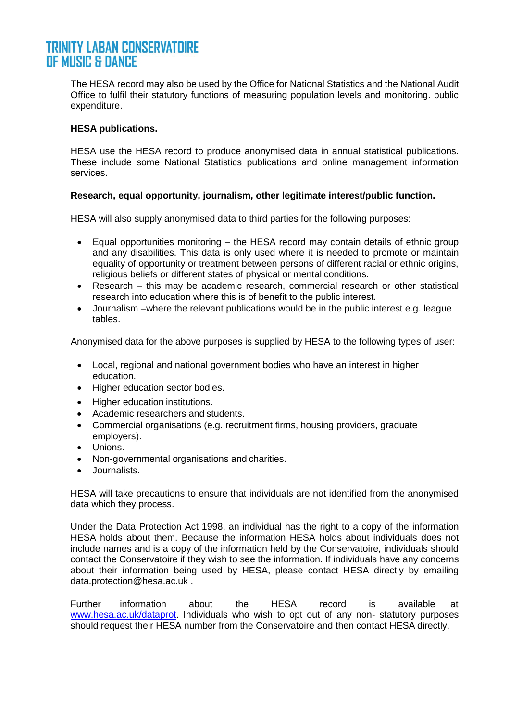The HESA record may also be used by the Office for National Statistics and the National Audit Office to fulfil their statutory functions of measuring population levels and monitoring. public expenditure.

#### **HESA publications.**

HESA use the HESA record to produce anonymised data in annual statistical publications. These include some National Statistics publications and online management information services.

#### **Research, equal opportunity, journalism, other legitimate interest/public function.**

HESA will also supply anonymised data to third parties for the following purposes:

- Equal opportunities monitoring the HESA record may contain details of ethnic group and any disabilities. This data is only used where it is needed to promote or maintain equality of opportunity or treatment between persons of different racial or ethnic origins, religious beliefs or different states of physical or mental conditions.
- Research this may be academic research, commercial research or other statistical research into education where this is of benefit to the public interest.
- Journalism –where the relevant publications would be in the public interest e.g. league tables.

Anonymised data for the above purposes is supplied by HESA to the following types of user:

- Local, regional and national government bodies who have an interest in higher education.
- Higher education sector bodies.
- Higher education institutions.
- Academic researchers and students.
- Commercial organisations (e.g. recruitment firms, housing providers, graduate employers).
- Unions.
- Non-governmental organisations and charities.
- Journalists.

HESA will take precautions to ensure that individuals are not identified from the anonymised data which they process.

Under the Data Protection Act 1998, an individual has the right to a copy of the information HESA holds about them. Because the information HESA holds about individuals does not include names and is a copy of the information held by the Conservatoire, individuals should contact the Conservatoire if they wish to see the information. If individuals have any concerns about their information being used by HESA, please contact HESA directly by emailing [data.protection@hesa.ac.uk .](mailto:data.protection@hesa.ac.uk)

Further information about the HESA record is available at [www.hesa.ac.uk/dataprot.](http://www.hesa.ac.uk/dataprot) Individuals who wish to opt out of any non- statutory purposes should request their HESA number from the Conservatoire and then contact HESA directly.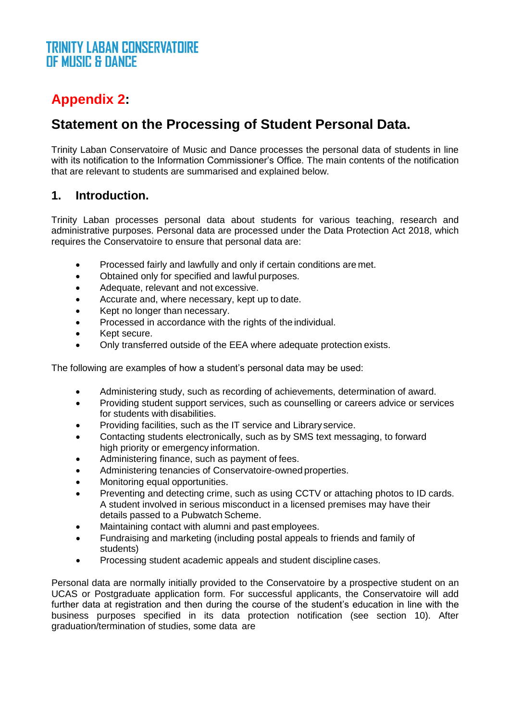# **Appendix 2:**

# **Statement on the Processing of Student Personal Data.**

Trinity Laban Conservatoire of Music and Dance processes the personal data of students in line with its notification to the Information Commissioner's Office. The main contents of the notification that are relevant to students are summarised and explained below.

#### **1. Introduction.**

Trinity Laban processes personal data about students for various teaching, research and administrative purposes. Personal data are processed under the Data Protection Act 2018, which requires the Conservatoire to ensure that personal data are:

- Processed fairly and lawfully and only if certain conditions are met.
- Obtained only for specified and lawful purposes.
- Adequate, relevant and not excessive.
- Accurate and, where necessary, kept up to date.
- Kept no longer than necessary.
- Processed in accordance with the rights of the individual.
- Kept secure.
- Only transferred outside of the EEA where adequate protection exists.

The following are examples of how a student's personal data may be used:

- Administering study, such as recording of achievements, determination of award.
- Providing student support services, such as counselling or careers advice or services for students with disabilities.
- Providing facilities, such as the IT service and Library service.
- Contacting students electronically, such as by SMS text messaging, to forward high priority or emergency information.
- Administering finance, such as payment of fees.
- Administering tenancies of Conservatoire-owned properties.
- Monitoring equal opportunities.
- Preventing and detecting crime, such as using CCTV or attaching photos to ID cards. A student involved in serious misconduct in a licensed premises may have their details passed to a Pubwatch Scheme.
- Maintaining contact with alumni and past employees.
- Fundraising and marketing (including postal appeals to friends and family of students)
- Processing student academic appeals and student discipline cases.

Personal data are normally initially provided to the Conservatoire by a prospective student on an UCAS or Postgraduate application form. For successful applicants, the Conservatoire will add further data at registration and then during the course of the student's education in line with the business purposes specified in its data protection notification (see section 10). After graduation/termination of studies, some data are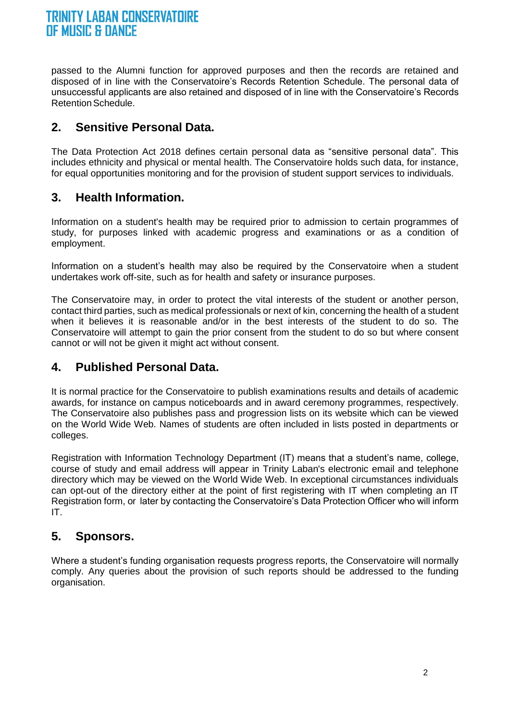passed to the Alumni function for approved purposes and then the records are retained and disposed of in line with the Conservatoire's Records Retention Schedule. The personal data of unsuccessful applicants are also retained and disposed of in line with the Conservatoire's Records Retention Schedule.

### **2. Sensitive Personal Data.**

The Data Protection Act 2018 defines certain personal data as "sensitive personal data". This includes ethnicity and physical or mental health. The Conservatoire holds such data, for instance, for equal opportunities monitoring and for the provision of student support services to individuals.

### **3. Health Information.**

Information on a student's health may be required prior to admission to certain programmes of study, for purposes linked with academic progress and examinations or as a condition of employment.

Information on a student's health may also be required by the Conservatoire when a student undertakes work off-site, such as for health and safety or insurance purposes.

The Conservatoire may, in order to protect the vital interests of the student or another person, contact third parties, such as medical professionals or next of kin, concerning the health of a student when it believes it is reasonable and/or in the best interests of the student to do so. The Conservatoire will attempt to gain the prior consent from the student to do so but where consent cannot or will not be given it might act without consent.

#### **4. Published Personal Data.**

It is normal practice for the Conservatoire to publish examinations results and details of academic awards, for instance on campus noticeboards and in award ceremony programmes, respectively. The Conservatoire also publishes pass and progression lists on its website which can be viewed on the World Wide Web. Names of students are often included in lists posted in departments or colleges.

Registration with Information Technology Department (IT) means that a student's name, college, course of study and email address will appear in Trinity Laban's electronic email and telephone directory which may be viewed on the World Wide Web. In exceptional circumstances individuals can opt-out of the directory either at the point of first registering with IT when completing an IT Registration form, or later by contacting the Conservatoire's Data Protection Officer who will inform IT.

#### **5. Sponsors.**

Where a student's funding organisation requests progress reports, the Conservatoire will normally comply. Any queries about the provision of such reports should be addressed to the funding organisation.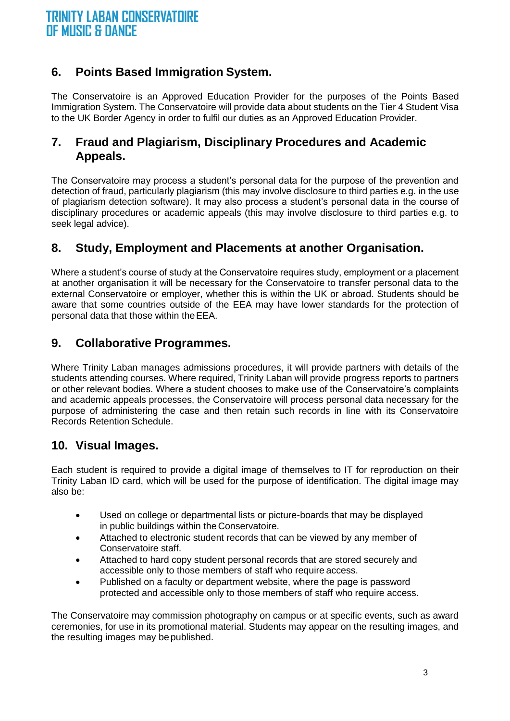# **6. Points Based Immigration System.**

The Conservatoire is an Approved Education Provider for the purposes of the Points Based Immigration System. The Conservatoire will provide data about students on the Tier 4 Student Visa to the UK Border Agency in order to fulfil our duties as an Approved Education Provider.

#### **7. Fraud and Plagiarism, Disciplinary Procedures and Academic Appeals.**

The Conservatoire may process a student's personal data for the purpose of the prevention and detection of fraud, particularly plagiarism (this may involve disclosure to third parties e.g. in the use of plagiarism detection software). It may also process a student's personal data in the course of disciplinary procedures or academic appeals (this may involve disclosure to third parties e.g. to seek legal advice).

# **8. Study, Employment and Placements at another Organisation.**

Where a student's course of study at the Conservatoire requires study, employment or a placement at another organisation it will be necessary for the Conservatoire to transfer personal data to the external Conservatoire or employer, whether this is within the UK or abroad. Students should be aware that some countries outside of the EEA may have lower standards for the protection of personal data that those within theEEA.

#### **9. Collaborative Programmes.**

Where Trinity Laban manages admissions procedures, it will provide partners with details of the students attending courses. Where required, Trinity Laban will provide progress reports to partners or other relevant bodies. Where a student chooses to make use of the Conservatoire's complaints and academic appeals processes, the Conservatoire will process personal data necessary for the purpose of administering the case and then retain such records in line with its Conservatoire Records Retention Schedule.

#### **10. Visual Images.**

Each student is required to provide a digital image of themselves to IT for reproduction on their Trinity Laban ID card, which will be used for the purpose of identification. The digital image may also be:

- Used on college or departmental lists or picture-boards that may be displayed in public buildings within the Conservatoire.
- Attached to electronic student records that can be viewed by any member of Conservatoire staff.
- Attached to hard copy student personal records that are stored securely and accessible only to those members of staff who require access.
- Published on a faculty or department website, where the page is password protected and accessible only to those members of staff who require access.

The Conservatoire may commission photography on campus or at specific events, such as award ceremonies, for use in its promotional material. Students may appear on the resulting images, and the resulting images may be published.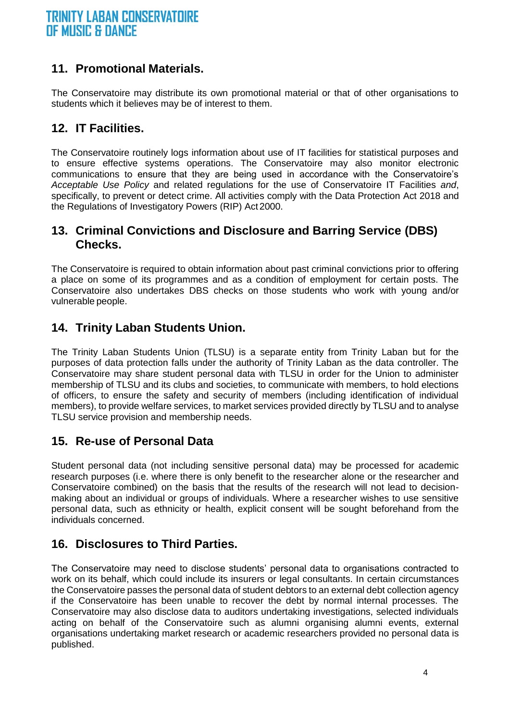#### **11. Promotional Materials.**

The Conservatoire may distribute its own promotional material or that of other organisations to students which it believes may be of interest to them.

#### **12. IT Facilities.**

The Conservatoire routinely logs information about use of IT facilities for statistical purposes and to ensure effective systems operations. The Conservatoire may also monitor electronic communications to ensure that they are being used in accordance with the Conservatoire's *Acceptable Use Policy* and related regulations for the use of Conservatoire IT Facilities *and*, specifically, to prevent or detect crime. All activities comply with the Data Protection Act 2018 and the Regulations of Investigatory Powers (RIP) Act 2000.

#### **13. Criminal Convictions and Disclosure and Barring Service (DBS) Checks.**

The Conservatoire is required to obtain information about past criminal convictions prior to offering a place on some of its programmes and as a condition of employment for certain posts. The Conservatoire also undertakes DBS checks on those students who work with young and/or vulnerable people.

#### **14. Trinity Laban Students Union.**

The Trinity Laban Students Union (TLSU) is a separate entity from Trinity Laban but for the purposes of data protection falls under the authority of Trinity Laban as the data controller. The Conservatoire may share student personal data with TLSU in order for the Union to administer membership of TLSU and its clubs and societies, to communicate with members, to hold elections of officers, to ensure the safety and security of members (including identification of individual members), to provide welfare services, to market services provided directly by TLSU and to analyse TLSU service provision and membership needs.

#### **15. Re-use of Personal Data**

Student personal data (not including sensitive personal data) may be processed for academic research purposes (i.e. where there is only benefit to the researcher alone or the researcher and Conservatoire combined) on the basis that the results of the research will not lead to decisionmaking about an individual or groups of individuals. Where a researcher wishes to use sensitive personal data, such as ethnicity or health, explicit consent will be sought beforehand from the individuals concerned.

#### **16. Disclosures to Third Parties.**

The Conservatoire may need to disclose students' personal data to organisations contracted to work on its behalf, which could include its insurers or legal consultants. In certain circumstances the Conservatoire passes the personal data of student debtors to an external debt collection agency if the Conservatoire has been unable to recover the debt by normal internal processes. The Conservatoire may also disclose data to auditors undertaking investigations, selected individuals acting on behalf of the Conservatoire such as alumni organising alumni events, external organisations undertaking market research or academic researchers provided no personal data is published.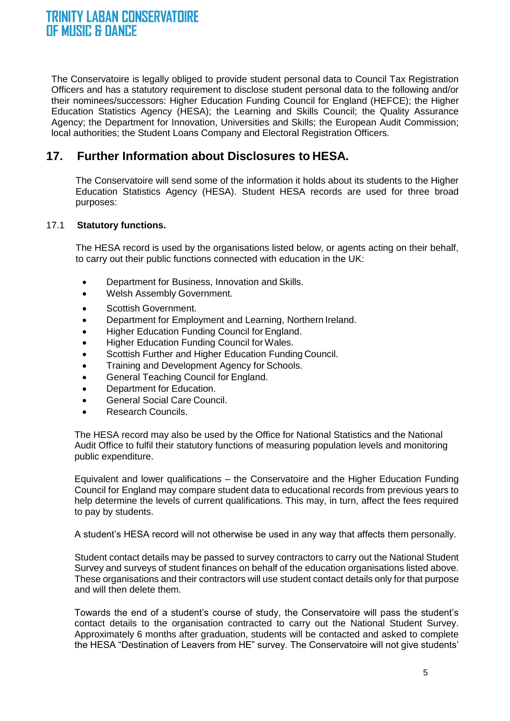The Conservatoire is legally obliged to provide student personal data to Council Tax Registration Officers and has a statutory requirement to disclose student personal data to the following and/or their nominees/successors: Higher Education Funding Council for England (HEFCE); the Higher Education Statistics Agency (HESA); the Learning and Skills Council; the Quality Assurance Agency; the Department for Innovation, Universities and Skills; the European Audit Commission; local authorities; the Student Loans Company and Electoral Registration Officers.

#### **17. Further Information about Disclosures to HESA.**

The Conservatoire will send some of the information it holds about its students to the Higher Education Statistics Agency (HESA). Student HESA records are used for three broad purposes:

#### 17.1 **Statutory functions.**

The HESA record is used by the organisations listed below, or agents acting on their behalf, to carry out their public functions connected with education in the UK:

- Department for Business, Innovation and Skills.
- Welsh Assembly Government.
- Scottish Government.
- Department for Employment and Learning, Northern Ireland.
- Higher Education Funding Council for England.
- Higher Education Funding Council for Wales.
- Scottish Further and Higher Education Funding Council.
- Training and Development Agency for Schools.
- General Teaching Council for England.
- Department for Education.
- General Social Care Council.
- Research Councils.

The HESA record may also be used by the Office for National Statistics and the National Audit Office to fulfil their statutory functions of measuring population levels and monitoring public expenditure.

Equivalent and lower qualifications – the Conservatoire and the Higher Education Funding Council for England may compare student data to educational records from previous years to help determine the levels of current qualifications. This may, in turn, affect the fees required to pay by students.

A student's HESA record will not otherwise be used in any way that affects them personally.

Student contact details may be passed to survey contractors to carry out the National Student Survey and surveys of student finances on behalf of the education organisations listed above. These organisations and their contractors will use student contact details only for that purpose and will then delete them.

Towards the end of a student's course of study, the Conservatoire will pass the student's contact details to the organisation contracted to carry out the National Student Survey. Approximately 6 months after graduation, students will be contacted and asked to complete the HESA "Destination of Leavers from HE" survey. The Conservatoire will not give students'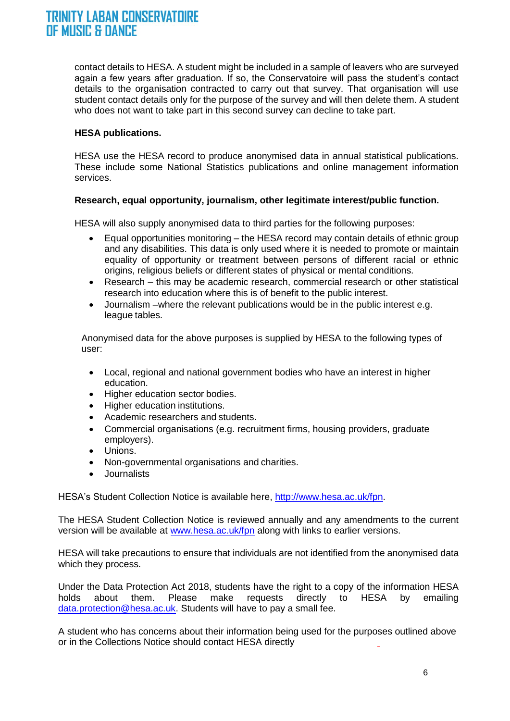contact details to HESA. A student might be included in a sample of leavers who are surveyed again a few years after graduation. If so, the Conservatoire will pass the student's contact details to the organisation contracted to carry out that survey. That organisation will use student contact details only for the purpose of the survey and will then delete them. A student who does not want to take part in this second survey can decline to take part.

#### **HESA publications.**

HESA use the HESA record to produce anonymised data in annual statistical publications. These include some National Statistics publications and online management information services.

#### **Research, equal opportunity, journalism, other legitimate interest/public function.**

HESA will also supply anonymised data to third parties for the following purposes:

- Equal opportunities monitoring the HESA record may contain details of ethnic group and any disabilities. This data is only used where it is needed to promote or maintain equality of opportunity or treatment between persons of different racial or ethnic origins, religious beliefs or different states of physical or mental conditions.
- Research this may be academic research, commercial research or other statistical research into education where this is of benefit to the public interest.
- Journalism –where the relevant publications would be in the public interest e.g. league tables.

Anonymised data for the above purposes is supplied by HESA to the following types of user:

- Local, regional and national government bodies who have an interest in higher education.
- Higher education sector bodies.
- Higher education institutions.
- Academic researchers and students.
- Commercial organisations (e.g. recruitment firms, housing providers, graduate employers).
- Unions.
- Non-governmental organisations and charities.
- Journalists

HESA's Student Collection Notice is available here, [http://www.hesa.ac.uk/fpn.](http://www.hesa.ac.uk/fpn)

The HESA Student Collection Notice is reviewed annually and any amendments to the current version will be available at [www.hesa.ac.uk/fpn](http://www.hesa.ac.uk/fpn) along with links to earlier versions.

HESA will take precautions to ensure that individuals are not identified from the anonymised data which they process.

Under the Data Protection Act 2018, students have the right to a copy of the information HESA holds about them. Please make requests directly to HESA by emailing [data.protection@hesa.ac.uk. S](mailto:data.protection@hesa.ac.uk)tudents will have to pay a small fee.

A student who has concerns about their information being used for the purposes outlined above or in the Collections Notice should contact HESA directly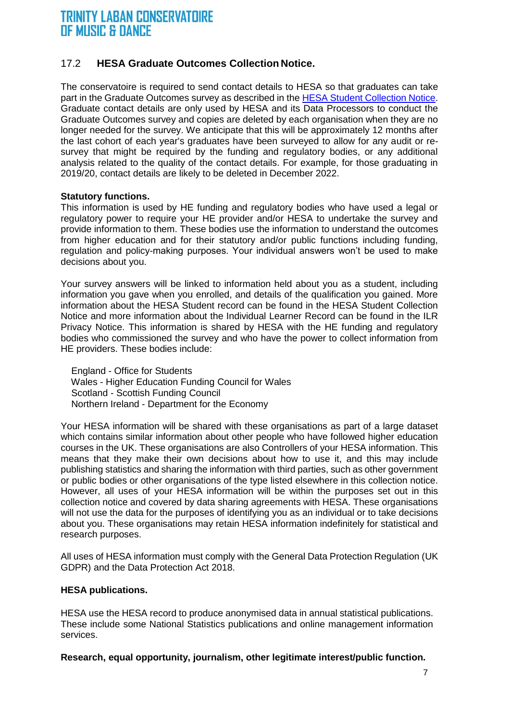#### 17.2 **HESA Graduate Outcomes Collection Notice.**

The conservatoire is required to send contact details to HESA so that graduates can take part in the Graduate Outcomes survey as described in the [HESA Student Collection Notice.](https://www.hesa.ac.uk/about/regulation/data-protection/notices) Graduate contact details are only used by HESA and its Data Processors to conduct the Graduate Outcomes survey and copies are deleted by each organisation when they are no longer needed for the survey. We anticipate that this will be approximately 12 months after the last cohort of each year's graduates have been surveyed to allow for any audit or resurvey that might be required by the funding and regulatory bodies, or any additional analysis related to the quality of the contact details. For example, for those graduating in 2019/20, contact details are likely to be deleted in December 2022.

#### **Statutory functions.**

This information is used by HE funding and regulatory bodies who have used a legal or regulatory power to require your HE provider and/or HESA to undertake the survey and provide information to them. These bodies use the information to understand the outcomes from higher education and for their statutory and/or public functions including funding, regulation and policy-making purposes. Your individual answers won't be used to make decisions about you.

Your survey answers will be linked to information held about you as a student, including information you gave when you enrolled, and details of the qualification you gained. More information about the HESA Student record can be found in the HESA Student Collection Notice and more information about the Individual Learner Record can be found in the ILR Privacy Notice. This information is shared by HESA with the HE funding and regulatory bodies who commissioned the survey and who have the power to collect information from HE providers. These bodies include:

 England - Office for Students Wales - Higher Education Funding Council for Wales Scotland - Scottish Funding Council Northern Ireland - Department for the Economy

Your HESA information will be shared with these organisations as part of a large dataset which contains similar information about other people who have followed higher education courses in the UK. These organisations are also Controllers of your HESA information. This means that they make their own decisions about how to use it, and this may include publishing statistics and sharing the information with third parties, such as other government or public bodies or other organisations of the type listed elsewhere in this collection notice. However, all uses of your HESA information will be within the purposes set out in this collection notice and covered by data sharing agreements with HESA. These organisations will not use the data for the purposes of identifying you as an individual or to take decisions about you. These organisations may retain HESA information indefinitely for statistical and research purposes.

All uses of HESA information must comply with the General Data Protection Regulation (UK GDPR) and the Data Protection Act 2018.

#### **HESA publications.**

HESA use the HESA record to produce anonymised data in annual statistical publications. These include some National Statistics publications and online management information services.

**Research, equal opportunity, journalism, other legitimate interest/public function.**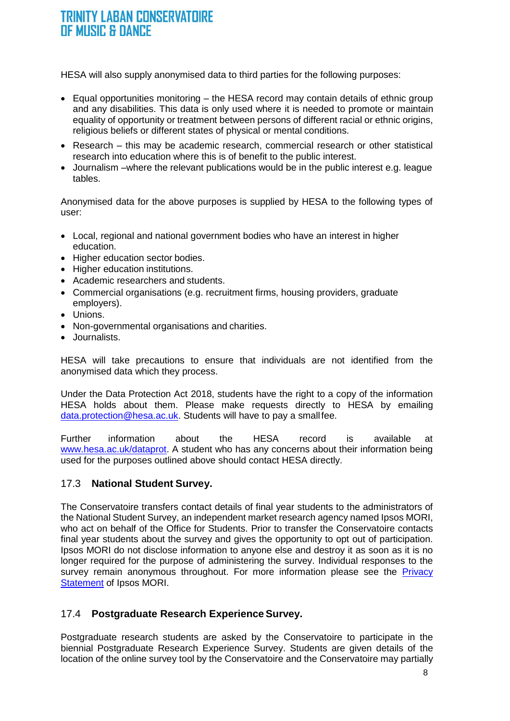HESA will also supply anonymised data to third parties for the following purposes:

- Equal opportunities monitoring the HESA record may contain details of ethnic group and any disabilities. This data is only used where it is needed to promote or maintain equality of opportunity or treatment between persons of different racial or ethnic origins, religious beliefs or different states of physical or mental conditions.
- Research this may be academic research, commercial research or other statistical research into education where this is of benefit to the public interest.
- Journalism –where the relevant publications would be in the public interest e.g. league tables.

Anonymised data for the above purposes is supplied by HESA to the following types of user:

- Local, regional and national government bodies who have an interest in higher education.
- Higher education sector bodies.
- Higher education institutions.
- Academic researchers and students.
- Commercial organisations (e.g. recruitment firms, housing providers, graduate employers).
- Unions.
- Non-governmental organisations and charities.
- Journalists.

HESA will take precautions to ensure that individuals are not identified from the anonymised data which they process.

Under the Data Protection Act 2018, students have the right to a copy of the information HESA holds about them. Please make requests directly to HESA by emailing [data.protection@hesa.ac.uk.](mailto:data.protection@hesa.ac.uk) Students will have to pay a smallfee.

Further information about the HESA record is available at [www.hesa.ac.uk/dataprot.](http://www.hesa.ac.uk/dataprot) A student who has any concerns about their information being used for the purposes outlined above should contact HESA directly.

#### 17.3 **National Student Survey.**

The Conservatoire transfers contact details of final year students to the administrators of the National Student Survey, an independent market research agency named Ipsos MORI, who act on behalf of the Office for Students. Prior to transfer the Conservatoire contacts final year students about the survey and gives the opportunity to opt out of participation. Ipsos MORI do not disclose information to anyone else and destroy it as soon as it is no longer required for the purpose of administering the survey. Individual responses to the survey remain anonymous throughout. For more information please see the Privacy **[Statement](http://www.ipsos-mori.com/privacy.aspx) of Ipsos MORI.** 

#### 17.4 **Postgraduate Research Experience Survey.**

Postgraduate research students are asked by the Conservatoire to participate in the biennial Postgraduate Research Experience Survey. Students are given details of the location of the online survey tool by the Conservatoire and the Conservatoire may partially